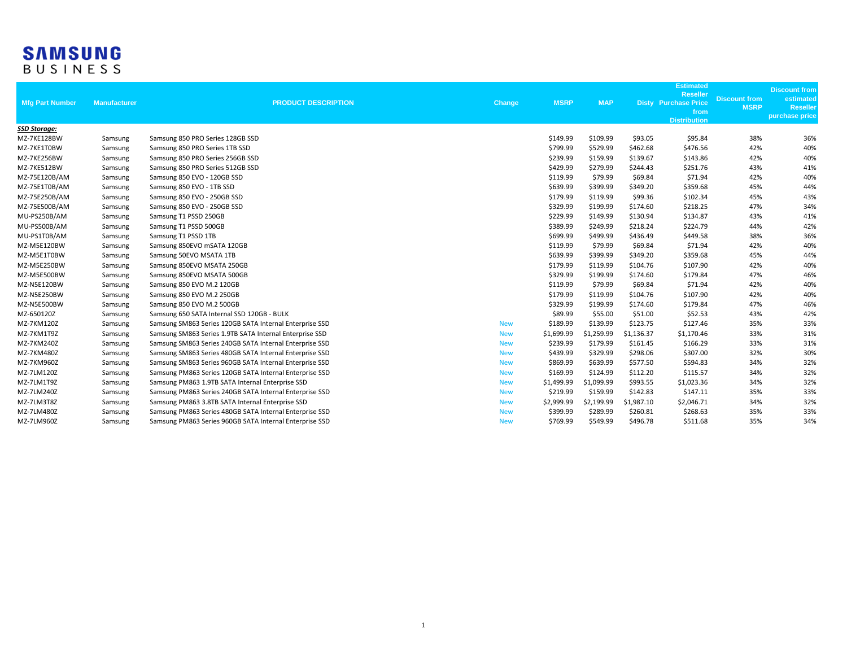## **SAMSUNG**<br>BUSINESS

| <b>Mfg Part Number</b> | <b>Manufacturer</b> | <b>PRODUCT DESCRIPTION</b>                              | Change     | <b>MSRP</b> | <b>MAP</b> |            | <b>Estimated</b><br><b>Reseller</b><br><b>Disty Purchase Price</b><br>from<br><b>Distribution</b> | <b>Discount from</b><br><b>MSRP</b> | <b>Discount from</b><br>estimated<br><b>Reseller</b><br>purchase price |
|------------------------|---------------------|---------------------------------------------------------|------------|-------------|------------|------------|---------------------------------------------------------------------------------------------------|-------------------------------------|------------------------------------------------------------------------|
| <b>SSD Storage:</b>    |                     |                                                         |            |             |            |            |                                                                                                   |                                     |                                                                        |
| MZ-7KE128BW            | Samsung             | Samsung 850 PRO Series 128GB SSD                        |            | \$149.99    | \$109.99   | \$93.05    | \$95.84                                                                                           | 38%                                 | 36%                                                                    |
| MZ-7KE1T0BW            | Samsung             | Samsung 850 PRO Series 1TB SSD                          |            | \$799.99    | \$529.99   | \$462.68   | \$476.56                                                                                          | 42%                                 | 40%                                                                    |
| MZ-7KE256BW            | Samsung             | Samsung 850 PRO Series 256GB SSD                        |            | \$239.99    | \$159.99   | \$139.67   | \$143.86                                                                                          | 42%                                 | 40%                                                                    |
| MZ-7KE512BW            | Samsung             | Samsung 850 PRO Series 512GB SSD                        |            | \$429.99    | \$279.99   | \$244.43   | \$251.76                                                                                          | 43%                                 | 41%                                                                    |
| MZ-75E120B/AM          | Samsung             | Samsung 850 EVO - 120GB SSD                             |            | \$119.99    | \$79.99    | \$69.84    | \$71.94                                                                                           | 42%                                 | 40%                                                                    |
| MZ-75E1T0B/AM          | Samsung             | Samsung 850 EVO - 1TB SSD                               |            | \$639.99    | \$399.99   | \$349.20   | \$359.68                                                                                          | 45%                                 | 44%                                                                    |
| MZ-75E250B/AM          | Samsung             | Samsung 850 EVO - 250GB SSD                             |            | \$179.99    | \$119.99   | \$99.36    | \$102.34                                                                                          | 45%                                 | 43%                                                                    |
| MZ-75E500B/AM          | Samsung             | Samsung 850 EVO - 250GB SSD                             |            | \$329.99    | \$199.99   | \$174.60   | \$218.25                                                                                          | 47%                                 | 34%                                                                    |
| MU-PS250B/AM           | Samsung             | Samsung T1 PSSD 250GB                                   |            | \$229.99    | \$149.99   | \$130.94   | \$134.87                                                                                          | 43%                                 | 41%                                                                    |
| MU-PS500B/AM           | Samsung             | Samsung T1 PSSD 500GB                                   |            | \$389.99    | \$249.99   | \$218.24   | \$224.79                                                                                          | 44%                                 | 42%                                                                    |
| MU-PS1T0B/AM           | Samsung             | Samsung T1 PSSD 1TB                                     |            | \$699.99    | \$499.99   | \$436.49   | \$449.58                                                                                          | 38%                                 | 36%                                                                    |
| MZ-M5E120BW            | Samsung             | Samsung 850EVO mSATA 120GB                              |            | \$119.99    | \$79.99    | \$69.84    | \$71.94                                                                                           | 42%                                 | 40%                                                                    |
| MZ-M5E1T0BW            | Samsung             | Samsung 50EVO MSATA 1TB                                 |            | \$639.99    | \$399.99   | \$349.20   | \$359.68                                                                                          | 45%                                 | 44%                                                                    |
| MZ-M5E250BW            | Samsung             | Samsung 850EVO MSATA 250GB                              |            | \$179.99    | \$119.99   | \$104.76   | \$107.90                                                                                          | 42%                                 | 40%                                                                    |
| MZ-M5E500BW            | Samsung             | Samsung 850EVO MSATA 500GB                              |            | \$329.99    | \$199.99   | \$174.60   | \$179.84                                                                                          | 47%                                 | 46%                                                                    |
| MZ-N5E120BW            | Samsung             | Samsung 850 EVO M.2 120GB                               |            | \$119.99    | \$79.99    | \$69.84    | \$71.94                                                                                           | 42%                                 | 40%                                                                    |
| MZ-N5E250BW            | Samsung             | Samsung 850 EVO M.2 250GB                               |            | \$179.99    | \$119.99   | \$104.76   | \$107.90                                                                                          | 42%                                 | 40%                                                                    |
| MZ-N5E500BW            | Samsung             | Samsung 850 EVO M.2 500GB                               |            | \$329.99    | \$199.99   | \$174.60   | \$179.84                                                                                          | 47%                                 | 46%                                                                    |
| MZ-650120Z             | Samsung             | Samsung 650 SATA Internal SSD 120GB - BULK              |            | \$89.99     | \$55.00    | \$51.00    | \$52.53                                                                                           | 43%                                 | 42%                                                                    |
| MZ-7KM120Z             | Samsung             | Samsung SM863 Series 120GB SATA Internal Enterprise SSD | <b>New</b> | \$189.99    | \$139.99   | \$123.75   | \$127.46                                                                                          | 35%                                 | 33%                                                                    |
| MZ-7KM1T9Z             | Samsung             | Samsung SM863 Series 1.9TB SATA Internal Enterprise SSD | <b>New</b> | \$1,699.99  | \$1,259.99 | \$1,136.37 | \$1,170.46                                                                                        | 33%                                 | 31%                                                                    |
| MZ-7KM240Z             | Samsung             | Samsung SM863 Series 240GB SATA Internal Enterprise SSD | <b>New</b> | \$239.99    | \$179.99   | \$161.45   | \$166.29                                                                                          | 33%                                 | 31%                                                                    |
| MZ-7KM480Z             | Samsung             | Samsung SM863 Series 480GB SATA Internal Enterprise SSD | <b>New</b> | \$439.99    | \$329.99   | \$298.06   | \$307.00                                                                                          | 32%                                 | 30%                                                                    |
| MZ-7KM960Z             | Samsung             | Samsung SM863 Series 960GB SATA Internal Enterprise SSD | <b>New</b> | \$869.99    | \$639.99   | \$577.50   | \$594.83                                                                                          | 34%                                 | 32%                                                                    |
| MZ-7LM120Z             | Samsung             | Samsung PM863 Series 120GB SATA Internal Enterprise SSD | <b>New</b> | \$169.99    | \$124.99   | \$112.20   | \$115.57                                                                                          | 34%                                 | 32%                                                                    |
| MZ-7LM1T9Z             | Samsung             | Samsung PM863 1.9TB SATA Internal Enterprise SSD        | <b>New</b> | \$1,499.99  | \$1,099.99 | \$993.55   | \$1,023.36                                                                                        | 34%                                 | 32%                                                                    |
| MZ-7LM240Z             | Samsung             | Samsung PM863 Series 240GB SATA Internal Enterprise SSD | <b>New</b> | \$219.99    | \$159.99   | \$142.83   | \$147.11                                                                                          | 35%                                 | 33%                                                                    |
| MZ-7LM3T8Z             | Samsung             | Samsung PM863 3.8TB SATA Internal Enterprise SSD        | <b>New</b> | \$2,999.99  | \$2,199.99 | \$1,987.10 | \$2,046.71                                                                                        | 34%                                 | 32%                                                                    |
| MZ-7LM480Z             | Samsung             | Samsung PM863 Series 480GB SATA Internal Enterprise SSD | <b>New</b> | \$399.99    | \$289.99   | \$260.81   | \$268.63                                                                                          | 35%                                 | 33%                                                                    |
| MZ-7LM960Z             | Samsung             | Samsung PM863 Series 960GB SATA Internal Enterprise SSD | <b>New</b> | \$769.99    | \$549.99   | \$496.78   | \$511.68                                                                                          | 35%                                 | 34%                                                                    |